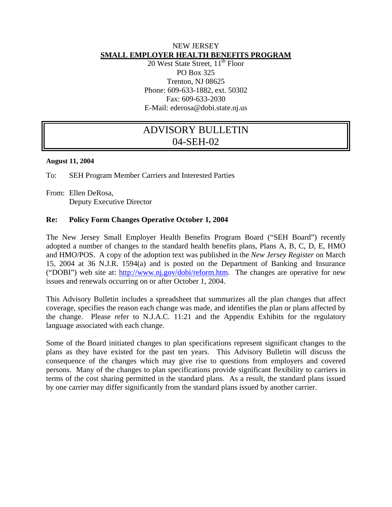## NEW JERSEY **SMALL EMPLOYER HEALTH BENEFITS PROGRAM**

20 West State Street,  $11<sup>th</sup>$  Floor PO Box 325 Trenton, NJ 08625 Phone: 609-633-1882, ext. 50302 Fax: 609-633-2030 E-Mail: ederosa@dobi.state.nj.us

# ADVISORY BULLETIN 04-SEH-02

#### **August 11, 2004**

To: SEH Program Member Carriers and Interested Parties

From: Ellen DeRosa, Deputy Executive Director

## **Re: Policy Form Changes Operative October 1, 2004**

The New Jersey Small Employer Health Benefits Program Board ("SEH Board") recently adopted a number of changes to the standard health benefits plans, Plans A, B, C, D, E, HMO and HMO/POS. A copy of the adoption text was published in the *New Jersey Register* on March 15, 2004 at 36 N.J.R. 1594(a) and is posted on the Department of Banking and Insurance ("DOBI") web site at: http://www.nj.gov/dobi/reform.htm. The changes are operative for new issues and renewals occurring on or after October 1, 2004.

This Advisory Bulletin includes a spreadsheet that summarizes all the plan changes that affect coverage, specifies the reason each change was made, and identifies the plan or plans affected by the change. Please refer to N.J.A.C. 11:21 and the Appendix Exhibits for the regulatory language associated with each change.

Some of the Board initiated changes to plan specifications represent significant changes to the plans as they have existed for the past ten years. This Advisory Bulletin will discuss the consequence of the changes which may give rise to questions from employers and covered persons. Many of the changes to plan specifications provide significant flexibility to carriers in terms of the cost sharing permitted in the standard plans. As a result, the standard plans issued by one carrier may differ significantly from the standard plans issued by another carrier.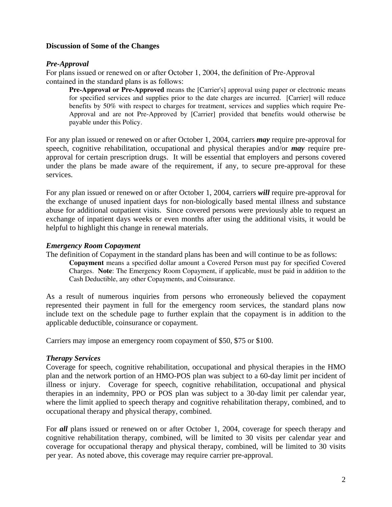## **Discussion of Some of the Changes**

## *Pre-Approval*

For plans issued or renewed on or after October 1, 2004, the definition of Pre-Approval contained in the standard plans is as follows:

**Pre-Approval or Pre-Approved** means the [Carrier's] approval using paper or electronic means for specified services and supplies prior to the date charges are incurred. [Carrier] will reduce benefits by 50% with respect to charges for treatment, services and supplies which require Pre-Approval and are not Pre-Approved by [Carrier] provided that benefits would otherwise be payable under this Policy.

For any plan issued or renewed on or after October 1, 2004, carriers *may* require pre-approval for speech, cognitive rehabilitation, occupational and physical therapies and/or *may* require preapproval for certain prescription drugs. It will be essential that employers and persons covered under the plans be made aware of the requirement, if any, to secure pre-approval for these services.

For any plan issued or renewed on or after October 1, 2004, carriers *will* require pre-approval for the exchange of unused inpatient days for non-biologically based mental illness and substance abuse for additional outpatient visits. Since covered persons were previously able to request an exchange of inpatient days weeks or even months after using the additional visits, it would be helpful to highlight this change in renewal materials.

#### *Emergency Room Copayment*

The definition of Copayment in the standard plans has been and will continue to be as follows:

**Copayment** means a specified dollar amount a Covered Person must pay for specified Covered Charges. **Note**: The Emergency Room Copayment, if applicable, must be paid in addition to the Cash Deductible, any other Copayments, and Coinsurance.

As a result of numerous inquiries from persons who erroneously believed the copayment represented their payment in full for the emergency room services, the standard plans now include text on the schedule page to further explain that the copayment is in addition to the applicable deductible, coinsurance or copayment.

Carriers may impose an emergency room copayment of \$50, \$75 or \$100.

#### *Therapy Services*

Coverage for speech, cognitive rehabilitation, occupational and physical therapies in the HMO plan and the network portion of an HMO-POS plan was subject to a 60-day limit per incident of illness or injury. Coverage for speech, cognitive rehabilitation, occupational and physical therapies in an indemnity, PPO or POS plan was subject to a 30-day limit per calendar year, where the limit applied to speech therapy and cognitive rehabilitation therapy, combined, and to occupational therapy and physical therapy, combined.

For *all* plans issued or renewed on or after October 1, 2004, coverage for speech therapy and cognitive rehabilitation therapy, combined, will be limited to 30 visits per calendar year and coverage for occupational therapy and physical therapy, combined, will be limited to 30 visits per year. As noted above, this coverage may require carrier pre-approval.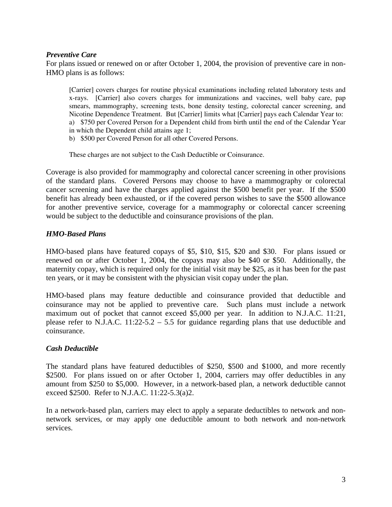## *Preventive Care*

For plans issued or renewed on or after October 1, 2004, the provision of preventive care in non-HMO plans is as follows:

[Carrier] covers charges for routine physical examinations including related laboratory tests and x-rays. [Carrier] also covers charges for immunizations and vaccines, well baby care, pap smears, mammography, screening tests, bone density testing, colorectal cancer screening, and Nicotine Dependence Treatment. But [Carrier] limits what [Carrier] pays each Calendar Year to: a) \$750 per Covered Person for a Dependent child from birth until the end of the Calendar Year in which the Dependent child attains age 1;

b) \$500 per Covered Person for all other Covered Persons.

These charges are not subject to the Cash Deductible or Coinsurance.

Coverage is also provided for mammography and colorectal cancer screening in other provisions of the standard plans. Covered Persons may choose to have a mammography or colorectal cancer screening and have the charges applied against the \$500 benefit per year. If the \$500 benefit has already been exhausted, or if the covered person wishes to save the \$500 allowance for another preventive service, coverage for a mammography or colorectal cancer screening would be subject to the deductible and coinsurance provisions of the plan.

## *HMO-Based Plans*

HMO-based plans have featured copays of \$5, \$10, \$15, \$20 and \$30. For plans issued or renewed on or after October 1, 2004, the copays may also be \$40 or \$50. Additionally, the maternity copay, which is required only for the initial visit may be \$25, as it has been for the past ten years, or it may be consistent with the physician visit copay under the plan.

HMO-based plans may feature deductible and coinsurance provided that deductible and coinsurance may not be applied to preventive care. Such plans must include a network maximum out of pocket that cannot exceed \$5,000 per year. In addition to N.J.A.C. 11:21, please refer to N.J.A.C. 11:22-5.2 – 5.5 for guidance regarding plans that use deductible and coinsurance.

#### *Cash Deductible*

The standard plans have featured deductibles of \$250, \$500 and \$1000, and more recently \$2500. For plans issued on or after October 1, 2004, carriers may offer deductibles in any amount from \$250 to \$5,000. However, in a network-based plan, a network deductible cannot exceed \$2500. Refer to N.J.A.C. 11:22-5.3(a)2.

In a network-based plan, carriers may elect to apply a separate deductibles to network and nonnetwork services, or may apply one deductible amount to both network and non-network services.